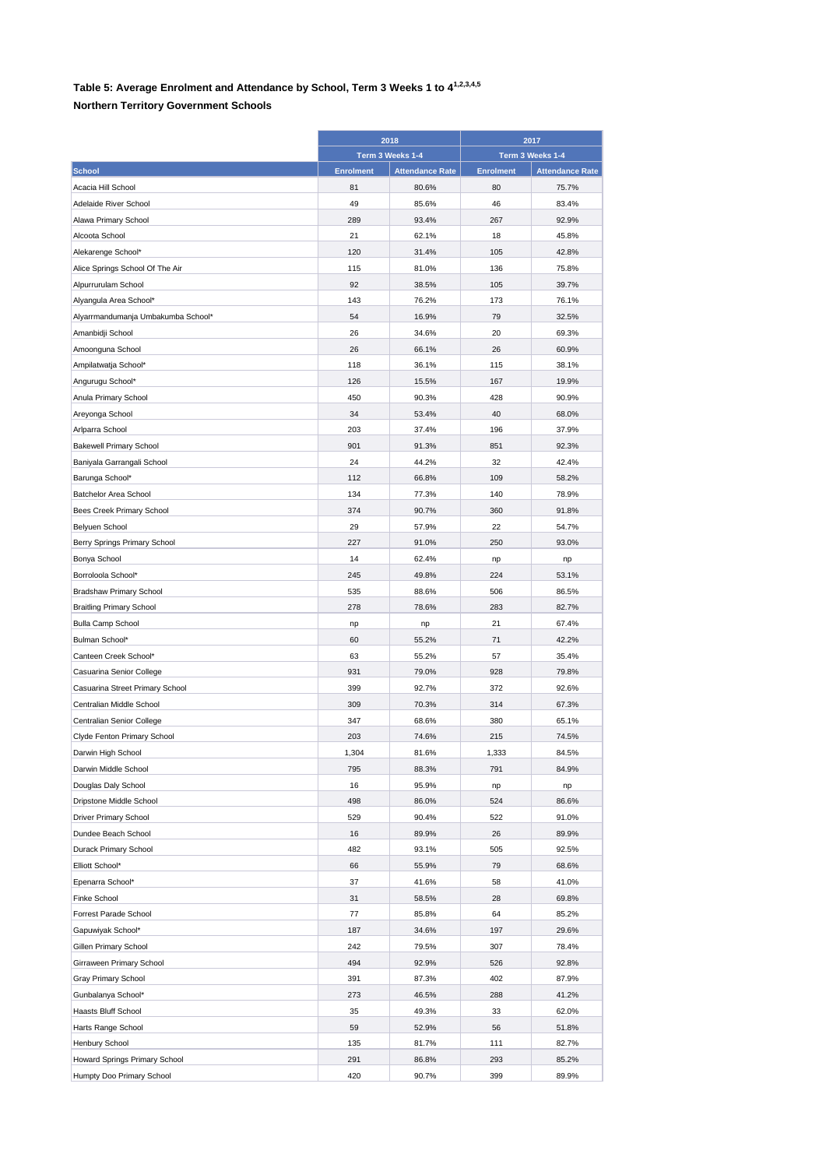## **Table 5: Average Enrolment and Attendance by School, Term 3 Weeks 1 to 41,2,3,4,5**

## **Northern Territory Government Schools**

|                                      | 2018             |                        | 2017             |                        |
|--------------------------------------|------------------|------------------------|------------------|------------------------|
|                                      |                  | Term 3 Weeks 1-4       |                  | Term 3 Weeks 1-4       |
| <b>School</b>                        | <b>Enrolment</b> | <b>Attendance Rate</b> | <b>Enrolment</b> | <b>Attendance Rate</b> |
| Acacia Hill School                   | 81               | 80.6%                  | 80               | 75.7%                  |
| Adelaide River School                | 49               | 85.6%                  | 46               | 83.4%                  |
| Alawa Primary School                 | 289              | 93.4%                  | 267              | 92.9%                  |
| Alcoota School                       | 21               | 62.1%                  | 18               | 45.8%                  |
| Alekarenge School*                   | 120              | 31.4%                  | 105              | 42.8%                  |
| Alice Springs School Of The Air      | 115              | 81.0%                  | 136              | 75.8%                  |
| Alpurrurulam School                  | 92               | 38.5%                  | 105              | 39.7%                  |
| Alyangula Area School*               | 143              | 76.2%                  | 173              | 76.1%                  |
| Alyarrmandumanja Umbakumba School*   | 54               | 16.9%                  | 79               | 32.5%                  |
| Amanbidji School                     | 26               | 34.6%                  | 20               | 69.3%                  |
| Amoonguna School                     | 26               | 66.1%                  | 26               | 60.9%                  |
| Ampilatwatja School*                 | 118              | 36.1%                  | 115              | 38.1%                  |
| Angurugu School*                     | 126              | 15.5%                  | 167              | 19.9%                  |
| Anula Primary School                 | 450              | 90.3%                  | 428              | 90.9%                  |
| Areyonga School                      | 34               | 53.4%                  | 40               | 68.0%                  |
| Arlparra School                      | 203              | 37.4%                  | 196              | 37.9%                  |
| <b>Bakewell Primary School</b>       | 901              | 91.3%                  | 851              | 92.3%                  |
| Baniyala Garrangali School           | 24               | 44.2%                  | 32               | 42.4%                  |
| Barunga School*                      | 112              | 66.8%                  | 109              | 58.2%                  |
| <b>Batchelor Area School</b>         | 134              | 77.3%                  | 140              | 78.9%                  |
| Bees Creek Primary School            | 374              | 90.7%                  | 360              | 91.8%                  |
| <b>Belyuen School</b>                | 29               | 57.9%                  | 22               | 54.7%                  |
| Berry Springs Primary School         | 227              | 91.0%                  | 250              | 93.0%                  |
| Bonya School                         | 14               | 62.4%                  | np               | np                     |
| Borroloola School*                   | 245              | 49.8%                  | 224              | 53.1%                  |
| <b>Bradshaw Primary School</b>       | 535              | 88.6%                  | 506              | 86.5%                  |
| <b>Braitling Primary School</b>      | 278              | 78.6%                  | 283              | 82.7%                  |
| <b>Bulla Camp School</b>             |                  |                        | 21               | 67.4%                  |
| Bulman School*                       | np<br>60         | np<br>55.2%            | 71               | 42.2%                  |
| Canteen Creek School*                | 63               | 55.2%                  | 57               | 35.4%                  |
|                                      | 931              | 79.0%                  | 928              | 79.8%                  |
| Casuarina Senior College             |                  |                        |                  |                        |
| Casuarina Street Primary School      | 399              | 92.7%                  | 372              | 92.6%                  |
| Centralian Middle School             | 309              | 70.3%                  | 314              | 67.3%                  |
| Centralian Senior College            | 347              | 68.6%                  | 380              | 65.1%                  |
| Clyde Fenton Primary School          | 203              | 74.6%                  | 215              | 74.5%                  |
| Darwin High School                   | 1,304            | 81.6%                  | 1,333            | 84.5%                  |
| Darwin Middle School                 | 795              | 88.3%                  | 791              | 84.9%                  |
| Douglas Daly School                  | 16               | 95.9%                  | np               | np                     |
| Dripstone Middle School              | 498              | 86.0%                  | 524              | 86.6%                  |
| Driver Primary School                | 529              | 90.4%                  | 522              | 91.0%                  |
| Dundee Beach School                  | 16               | 89.9%                  | 26               | 89.9%                  |
| Durack Primary School                | 482              | 93.1%                  | 505              | 92.5%                  |
| Elliott School*                      | 66               | 55.9%                  | 79               | 68.6%                  |
| Epenarra School*                     | 37               | 41.6%                  | 58               | 41.0%                  |
| Finke School                         | 31               | 58.5%                  | 28               | 69.8%                  |
| Forrest Parade School                | 77               | 85.8%                  | 64               | 85.2%                  |
| Gapuwiyak School*                    | 187              | 34.6%                  | 197              | 29.6%                  |
| Gillen Primary School                | 242              | 79.5%                  | 307              | 78.4%                  |
| Girraween Primary School             | 494              | 92.9%                  | 526              | 92.8%                  |
| <b>Gray Primary School</b>           | 391              | 87.3%                  | 402              | 87.9%                  |
| Gunbalanya School*                   | 273              | 46.5%                  | 288              | 41.2%                  |
| Haasts Bluff School                  | 35               | 49.3%                  | 33               | 62.0%                  |
| Harts Range School                   | 59               | 52.9%                  | 56               | 51.8%                  |
| Henbury School                       | 135              | 81.7%                  | 111              | 82.7%                  |
| <b>Howard Springs Primary School</b> | 291              | 86.8%                  | 293              | 85.2%                  |
| Humpty Doo Primary School            | 420              | 90.7%                  | 399              | 89.9%                  |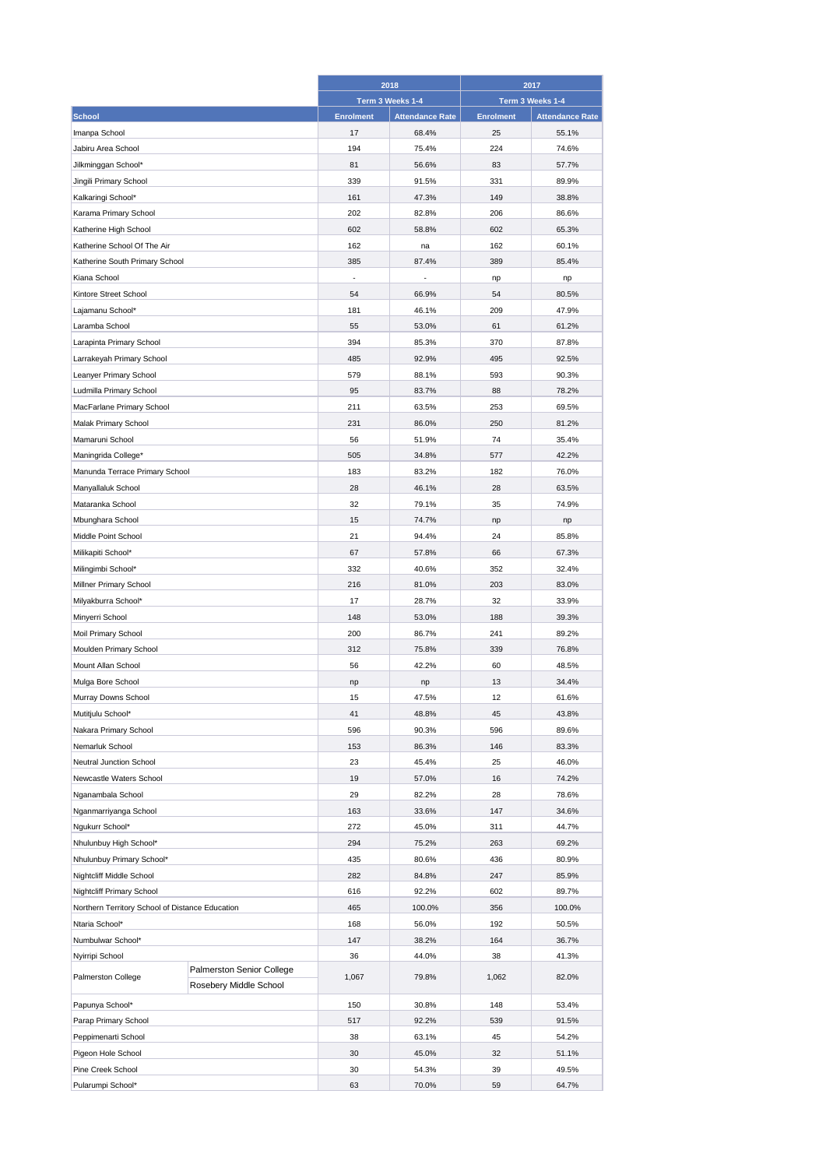|                                                                   |                        | 2018             |                        | 2017             |                        |
|-------------------------------------------------------------------|------------------------|------------------|------------------------|------------------|------------------------|
|                                                                   |                        |                  | Term 3 Weeks 1-4       |                  | Term 3 Weeks 1-4       |
| <b>School</b>                                                     |                        | <b>Enrolment</b> | <b>Attendance Rate</b> | <b>Enrolment</b> | <b>Attendance Rate</b> |
| Imanpa School                                                     |                        | 17               | 68.4%                  | 25               | 55.1%                  |
| Jabiru Area School                                                |                        | 194              | 75.4%                  | 224              | 74.6%                  |
| Jilkminggan School*                                               |                        | 81               | 56.6%                  | 83               | 57.7%                  |
| Jingili Primary School                                            |                        | 339              | 91.5%                  | 331              | 89.9%                  |
| Kalkaringi School*                                                |                        | 161              | 47.3%                  | 149              | 38.8%                  |
| Karama Primary School                                             |                        | 202              | 82.8%                  | 206              | 86.6%                  |
| Katherine High School                                             |                        | 602              | 58.8%                  | 602              | 65.3%                  |
| Katherine School Of The Air                                       |                        | 162              | na                     | 162              | 60.1%                  |
|                                                                   |                        | 385              | 87.4%                  | 389              | 85.4%                  |
| Katherine South Primary School                                    |                        |                  |                        |                  |                        |
| Kiana School                                                      |                        | ä,               |                        | np               | np                     |
| Kintore Street School                                             |                        | 54               | 66.9%                  | 54               | 80.5%                  |
| Lajamanu School*                                                  |                        | 181              | 46.1%                  | 209              | 47.9%                  |
| Laramba School                                                    |                        | 55               | 53.0%                  | 61               | 61.2%                  |
| Larapinta Primary School                                          |                        | 394              | 85.3%                  | 370              | 87.8%                  |
| Larrakeyah Primary School                                         |                        | 485              | 92.9%                  | 495              | 92.5%                  |
| Leanyer Primary School                                            |                        | 579              | 88.1%                  | 593              | 90.3%                  |
| Ludmilla Primary School                                           |                        | 95               | 83.7%                  | 88               | 78.2%                  |
| MacFarlane Primary School                                         |                        | 211              | 63.5%                  | 253              | 69.5%                  |
| Malak Primary School                                              |                        | 231              | 86.0%                  | 250              | 81.2%                  |
| Mamaruni School                                                   |                        | 56               | 51.9%                  | 74               | 35.4%                  |
| Maningrida College*                                               |                        | 505              | 34.8%                  | 577              | 42.2%                  |
| Manunda Terrace Primary School                                    |                        | 183              | 83.2%                  | 182              | 76.0%                  |
| Manyallaluk School                                                |                        | 28               | 46.1%                  | 28               | 63.5%                  |
| Mataranka School                                                  |                        | 32               | 79.1%                  | 35               | 74.9%                  |
| Mbunghara School                                                  |                        | 15               | 74.7%                  | np               | np                     |
| Middle Point School                                               |                        | 21               | 94.4%                  | 24               | 85.8%                  |
| Milikapiti School*                                                |                        | 67               | 57.8%                  | 66               | 67.3%                  |
|                                                                   |                        | 332              | 40.6%                  | 352              | 32.4%                  |
| Milingimbi School*                                                |                        | 216              |                        | 203              | 83.0%                  |
| Millner Primary School                                            |                        |                  | 81.0%                  |                  |                        |
| Milyakburra School*                                               |                        | 17               | 28.7%                  | 32               | 33.9%                  |
| Minyerri School                                                   |                        | 148              | 53.0%                  | 188              | 39.3%                  |
| Moil Primary School                                               |                        | 200              | 86.7%                  | 241              | 89.2%                  |
| Moulden Primary School                                            |                        | 312              | 75.8%                  | 339              | 76.8%                  |
| Mount Allan School                                                |                        | 56               | 42.2%                  | 60               | 48.5%                  |
| Mulga Bore School                                                 |                        | np               | np                     | 13               | 34.4%                  |
| Murray Downs School                                               |                        | 15               | 47.5%                  | 12               | 61.6%                  |
| Mutitjulu School*                                                 |                        | 41               | 48.8%                  | 45               | 43.8%                  |
| Nakara Primary School                                             |                        | 596              | 90.3%                  | 596              | 89.6%                  |
| Nemarluk School                                                   |                        | 153              | 86.3%                  | 146              | 83.3%                  |
| Neutral Junction School                                           |                        | 23               | 45.4%                  | 25               | 46.0%                  |
| Newcastle Waters School                                           |                        | 19               | 57.0%                  | 16               | 74.2%                  |
| Nganambala School                                                 |                        | 29               | 82.2%                  | 28               | 78.6%                  |
| Nganmarriyanga School                                             |                        | 163              | 33.6%                  | 147              | 34.6%                  |
| Ngukurr School*                                                   |                        | 272              | 45.0%                  | 311              | 44.7%                  |
| Nhulunbuy High School*                                            |                        | 294              | 75.2%                  | 263              | 69.2%                  |
| Nhulunbuy Primary School*                                         |                        | 435              | 80.6%                  | 436              | 80.9%                  |
| Nightcliff Middle School                                          |                        | 282              | 84.8%                  | 247              | 85.9%                  |
| Nightcliff Primary School                                         |                        | 616              | 92.2%                  | 602              | 89.7%                  |
|                                                                   |                        | 465              | 100.0%                 | 356              | 100.0%                 |
| Northern Territory School of Distance Education<br>Ntaria School* |                        | 168              | 56.0%                  | 192              | 50.5%                  |
|                                                                   |                        |                  |                        |                  |                        |
| Numbulwar School*                                                 |                        | 147              | 38.2%                  | 164              | 36.7%                  |
| Nyirripi School<br>Palmerston Senior College                      |                        | 36               | 44.0%                  | 38               | 41.3%                  |
| Palmerston College                                                | Rosebery Middle School | 1,067            | 79.8%                  | 1,062            | 82.0%                  |
| Papunya School*                                                   |                        | 150              | 30.8%                  | 148              | 53.4%                  |
| Parap Primary School                                              |                        | 517              | 92.2%                  | 539              | 91.5%                  |
| Peppimenarti School                                               |                        | 38               | 63.1%                  | 45               | 54.2%                  |
| Pigeon Hole School                                                |                        | 30               | 45.0%                  | 32               | 51.1%                  |
| Pine Creek School                                                 |                        | 30               | 54.3%                  | 39               | 49.5%                  |
| Pularumpi School*                                                 |                        | 63               | 70.0%                  | 59               | 64.7%                  |